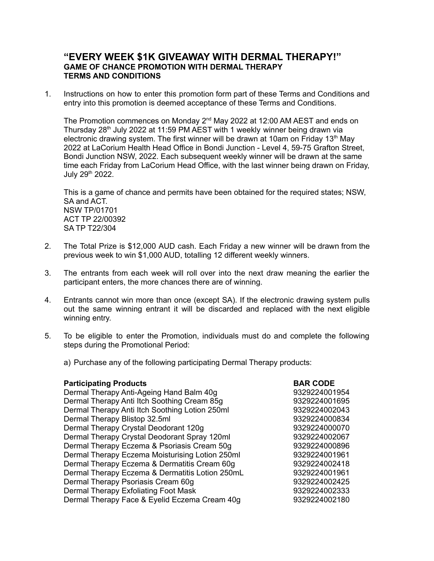## **"EVERY WEEK \$1K GIVEAWAY WITH DERMAL THERAPY!" GAME OF CHANCE PROMOTION WITH DERMAL THERAPY TERMS AND CONDITIONS**

1. Instructions on how to enter this promotion form part of these Terms and Conditions and entry into this promotion is deemed acceptance of these Terms and Conditions.

The Promotion commences on Monday  $2^{nd}$  May 2022 at 12:00 AM AEST and ends on Thursday 28<sup>th</sup> July 2022 at 11:59 PM AEST with 1 weekly winner being drawn via electronic drawing system. The first winner will be drawn at 10am on Friday 13<sup>th</sup> May 2022 at LaCorium Health Head Office in Bondi Junction - Level 4, 59-75 Grafton Street, Bondi Junction NSW, 2022. Each subsequent weekly winner will be drawn at the same time each Friday from LaCorium Head Office, with the last winner being drawn on Friday, July 29<sup>th</sup> 2022.

This is a game of chance and permits have been obtained for the required states; NSW, SA and ACT. NSW TP/01701 ACT TP 22/00392 SA TP T22/304

- 2. The Total Prize is \$12,000 AUD cash. Each Friday a new winner will be drawn from the previous week to win \$1,000 AUD, totalling 12 different weekly winners.
- 3. The entrants from each week will roll over into the next draw meaning the earlier the participant enters, the more chances there are of winning.
- 4. Entrants cannot win more than once (except SA). If the electronic drawing system pulls out the same winning entrant it will be discarded and replaced with the next eligible winning entry.
- 5. To be eligible to enter the Promotion, individuals must do and complete the following steps during the Promotional Period:
	- a) Purchase any of the following participating Dermal Therapy products:

| <b>Participating Products</b>                   | <b>BAR CODE</b> |
|-------------------------------------------------|-----------------|
| Dermal Therapy Anti-Ageing Hand Balm 40g        | 9329224001954   |
| Dermal Therapy Anti Itch Soothing Cream 85g     | 9329224001695   |
| Dermal Therapy Anti Itch Soothing Lotion 250ml  | 9329224002043   |
| Dermal Therapy Blistop 32.5ml                   | 9329224000834   |
| Dermal Therapy Crystal Deodorant 120g           | 9329224000070   |
| Dermal Therapy Crystal Deodorant Spray 120ml    | 9329224002067   |
| Dermal Therapy Eczema & Psoriasis Cream 50g     | 9329224000896   |
| Dermal Therapy Eczema Moisturising Lotion 250ml | 9329224001961   |
| Dermal Therapy Eczema & Dermatitis Cream 60g    | 9329224002418   |
| Dermal Therapy Eczema & Dermatitis Lotion 250mL | 9329224001961   |
| Dermal Therapy Psoriasis Cream 60g              | 9329224002425   |
| Dermal Therapy Exfoliating Foot Mask            | 9329224002333   |
| Dermal Therapy Face & Eyelid Eczema Cream 40g   | 9329224002180   |
|                                                 |                 |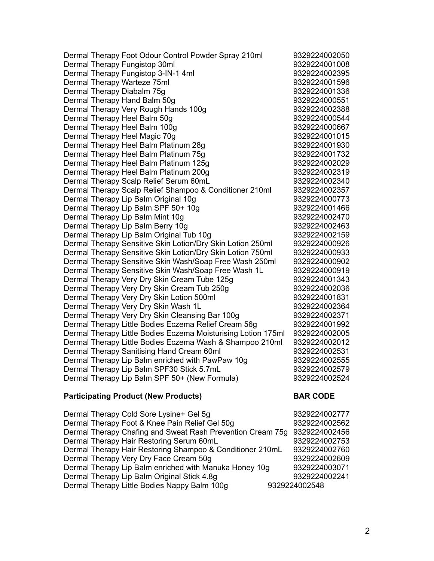Dermal Therapy Foot Odour Control Powder Spray 210ml 9329224002050 Dermal Therapy Fungistop 30ml 9329224001008 Dermal Therapy Fungistop 3-IN-1 4ml 9329224002395 Dermal Therapy Warteze 75ml 9329224001596 Dermal Therapy Diabalm 75g button and the control of 9329224001336 Dermal Therapy Hand Balm 50g **9329224000551** Dermal Therapy Very Rough Hands 100g entitled as a state of 9329224002388 Dermal Therapy Heel Balm 50g b 9329224000544 Dermal Therapy Heel Balm 100g by a state of the state of 9329224000667 Dermal Therapy Heel Magic 70g **9329224001015** Dermal Therapy Heel Balm Platinum 28g barrett and the latest 9329224001930 Dermal Therapy Heel Balm Platinum 75g barren as a 9329224001732 Dermal Therapy Heel Balm Platinum 125g 9329224002029 Dermal Therapy Heel Balm Platinum 200g 9329224002319 Dermal Therapy Scalp Relief Serum 60mL 9329224002340 Dermal Therapy Scalp Relief Shampoo & Conditioner 210ml 9329224002357 Dermal Therapy Lip Balm Original 10g by example the manufacturer of 9329224000773 Dermal Therapy Lip Balm SPF 50+ 10g 9329224001466 Dermal Therapy Lip Balm Mint 10g by Derman 19329224002470 Dermal Therapy Lip Balm Berry 10g by a matter of the late of 9329224002463 Dermal Therapy Lip Balm Original Tub 10g example 3329224002159 Dermal Therapy Sensitive Skin Lotion/Dry Skin Lotion 250ml 9329224000926 Dermal Therapy Sensitive Skin Lotion/Dry Skin Lotion 750ml 9329224000933 Dermal Therapy Sensitive Skin Wash/Soap Free Wash 250ml 9329224000902 Dermal Therapy Sensitive Skin Wash/Soap Free Wash 1L 9329224000919 Dermal Therapy Very Dry Skin Cream Tube 125g 9329224001343 Dermal Therapy Very Dry Skin Cream Tub 250g 9329224002036 Dermal Therapy Very Dry Skin Lotion 500ml 9329224001831 Dermal Therapy Very Dry Skin Wash 1L 9329224002364 Dermal Therapy Very Dry Skin Cleansing Bar 100g 9329224002371 Dermal Therapy Little Bodies Eczema Relief Cream 56g 9329224001992 Dermal Therapy Little Bodies Eczema Moisturising Lotion 175ml 9329224002005 Dermal Therapy Little Bodies Eczema Wash & Shampoo 210ml 9329224002012 Dermal Therapy Sanitising Hand Cream 60ml 9329224002531 Dermal Therapy Lip Balm enriched with PawPaw 10g 9329224002555 Dermal Therapy Lip Balm SPF30 Stick 5.7mL 9329224002579 Dermal Therapy Lip Balm SPF 50+ (New Formula) 9329224002524

## **Participating Product (New Products) BAR CODE**

Dermal Therapy Cold Sore Lysine+ Gel 5q example 3329224002777 Dermal Therapy Foot & Knee Pain Relief Gel 50g entitled as a 9329224002562 Dermal Therapy Chafing and Sweat Rash Prevention Cream 75g 9329224002456 Dermal Therapy Hair Restoring Serum 60mL 9329224002753 Dermal Therapy Hair Restoring Shampoo & Conditioner 210mL 9329224002760 Dermal Therapy Very Dry Face Cream 50g entitled as a 9329224002609 Dermal Therapy Lip Balm enriched with Manuka Honey 10g 9329224003071 Dermal Therapy Lip Balm Original Stick 4.8g 9329224002241 Dermal Therapy Little Bodies Nappy Balm 100g 9329224002548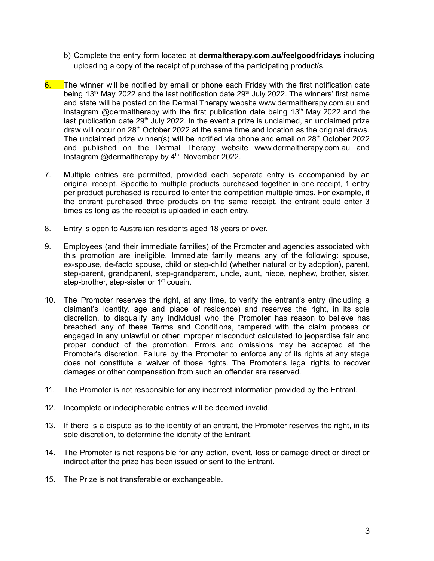- b) Complete the entry form located at **dermaltherapy.com.au/feelgoodfridays** including uploading a copy of the receipt of purchase of the participating product/s.
- 6. The winner will be notified by email or phone each Friday with the first notification date being 13<sup>th</sup> May 2022 and the last notification date 29<sup>th</sup> July 2022. The winners' first name and state will be posted on the Dermal Therapy website www.dermaltherapy.com.au and Instagram @dermaltherapy with the first publication date being  $13<sup>th</sup>$  May 2022 and the last publication date 29<sup>th</sup> July 2022. In the event a prize is unclaimed, an unclaimed prize draw will occur on 28<sup>th</sup> October 2022 at the same time and location as the original draws. The unclaimed prize winner(s) will be notified via phone and email on 28<sup>th</sup> October 2022 and published on the Dermal Therapy website www.dermaltherapy.com.au and Instagram @dermaltherapy by 4<sup>th</sup> November 2022.
- 7. Multiple entries are permitted, provided each separate entry is accompanied by an original receipt. Specific to multiple products purchased together in one receipt, 1 entry per product purchased is required to enter the competition multiple times. For example, if the entrant purchased three products on the same receipt, the entrant could enter 3 times as long as the receipt is uploaded in each entry.
- 8. Entry is open to Australian residents aged 18 years or over.
- 9. Employees (and their immediate families) of the Promoter and agencies associated with this promotion are ineligible. Immediate family means any of the following: spouse, ex-spouse, de-facto spouse, child or step-child (whether natural or by adoption), parent, step-parent, grandparent, step-grandparent, uncle, aunt, niece, nephew, brother, sister, step-brother, step-sister or 1<sup>st</sup> cousin.
- 10. The Promoter reserves the right, at any time, to verify the entrant's entry (including a claimant's identity, age and place of residence) and reserves the right, in its sole discretion, to disqualify any individual who the Promoter has reason to believe has breached any of these Terms and Conditions, tampered with the claim process or engaged in any unlawful or other improper misconduct calculated to jeopardise fair and proper conduct of the promotion. Errors and omissions may be accepted at the Promoter's discretion. Failure by the Promoter to enforce any of its rights at any stage does not constitute a waiver of those rights. The Promoter's legal rights to recover damages or other compensation from such an offender are reserved.
- 11. The Promoter is not responsible for any incorrect information provided by the Entrant.
- 12. Incomplete or indecipherable entries will be deemed invalid.
- 13. If there is a dispute as to the identity of an entrant, the Promoter reserves the right, in its sole discretion, to determine the identity of the Entrant.
- 14. The Promoter is not responsible for any action, event, loss or damage direct or direct or indirect after the prize has been issued or sent to the Entrant.
- 15. The Prize is not transferable or exchangeable.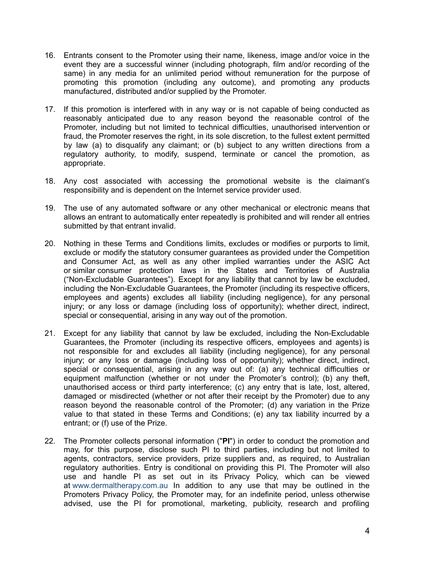- 16. Entrants consent to the Promoter using their name, likeness, image and/or voice in the event they are a successful winner (including photograph, film and/or recording of the same) in any media for an unlimited period without remuneration for the purpose of promoting this promotion (including any outcome), and promoting any products manufactured, distributed and/or supplied by the Promoter.
- 17. If this promotion is interfered with in any way or is not capable of being conducted as reasonably anticipated due to any reason beyond the reasonable control of the Promoter, including but not limited to technical difficulties, unauthorised intervention or fraud, the Promoter reserves the right, in its sole discretion, to the fullest extent permitted by law (a) to disqualify any claimant; or (b) subject to any written directions from a regulatory authority, to modify, suspend, terminate or cancel the promotion, as appropriate.
- 18. Any cost associated with accessing the promotional website is the claimant's responsibility and is dependent on the Internet service provider used.
- 19. The use of any automated software or any other mechanical or electronic means that allows an entrant to automatically enter repeatedly is prohibited and will render all entries submitted by that entrant invalid.
- 20. Nothing in these Terms and Conditions limits, excludes or modifies or purports to limit, exclude or modify the statutory consumer guarantees as provided under the Competition and Consumer Act, as well as any other implied warranties under the ASIC Act or similar consumer protection laws in the States and Territories of Australia ("Non-Excludable Guarantees"). Except for any liability that cannot by law be excluded, including the Non-Excludable Guarantees, the Promoter (including its respective officers, employees and agents) excludes all liability (including negligence), for any personal injury; or any loss or damage (including loss of opportunity); whether direct, indirect, special or consequential, arising in any way out of the promotion.
- 21. Except for any liability that cannot by law be excluded, including the Non-Excludable Guarantees, the Promoter (including its respective officers, employees and agents) is not responsible for and excludes all liability (including negligence), for any personal injury; or any loss or damage (including loss of opportunity); whether direct, indirect, special or consequential, arising in any way out of: (a) any technical difficulties or equipment malfunction (whether or not under the Promoter's control); (b) any theft, unauthorised access or third party interference; (c) any entry that is late, lost, altered, damaged or misdirected (whether or not after their receipt by the Promoter) due to any reason beyond the reasonable control of the Promoter; (d) any variation in the Prize value to that stated in these Terms and Conditions; (e) any tax liability incurred by a entrant; or (f) use of the Prize.
- 22. The Promoter collects personal information ("**PI**") in order to conduct the promotion and may, for this purpose, disclose such PI to third parties, including but not limited to agents, contractors, service providers, prize suppliers and, as required, to Australian regulatory authorities. Entry is conditional on providing this PI. The Promoter will also use and handle PI as set out in its Privacy Policy, which can be viewed at www.dermaltherapy.com.au In addition to any use that may be outlined in the Promoters Privacy Policy, the Promoter may, for an indefinite period, unless otherwise advised, use the PI for promotional, marketing, publicity, research and profiling